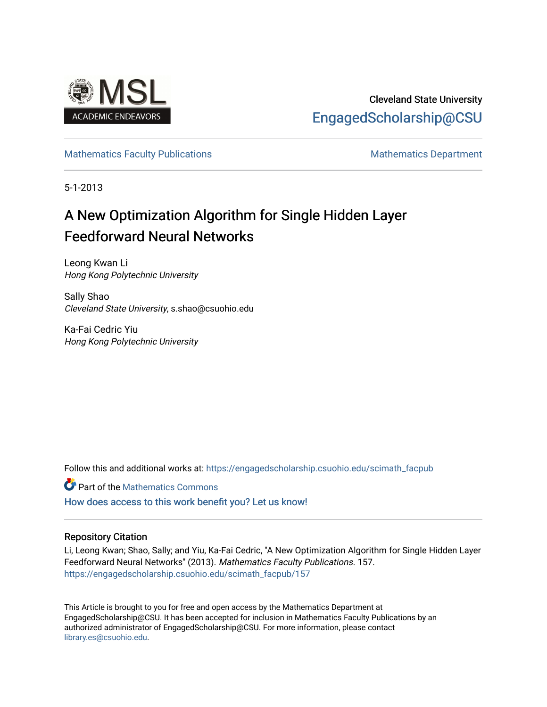

# Cleveland State University [EngagedScholarship@CSU](https://engagedscholarship.csuohio.edu/)

### [Mathematics Faculty Publications](https://engagedscholarship.csuohio.edu/scimath_facpub) Mathematics Department

5-1-2013

# A New Optimization Algorithm for Single Hidden Layer Feedforward Neural Networks

Leong Kwan Li Hong Kong Polytechnic University

Sally Shao Cleveland State University, s.shao@csuohio.edu

Ka-Fai Cedric Yiu Hong Kong Polytechnic University

Follow this and additional works at: [https://engagedscholarship.csuohio.edu/scimath\\_facpub](https://engagedscholarship.csuohio.edu/scimath_facpub?utm_source=engagedscholarship.csuohio.edu%2Fscimath_facpub%2F157&utm_medium=PDF&utm_campaign=PDFCoverPages)

Part of the [Mathematics Commons](http://network.bepress.com/hgg/discipline/174?utm_source=engagedscholarship.csuohio.edu%2Fscimath_facpub%2F157&utm_medium=PDF&utm_campaign=PDFCoverPages)

[How does access to this work benefit you? Let us know!](http://library.csuohio.edu/engaged/)

## Repository Citation

Li, Leong Kwan; Shao, Sally; and Yiu, Ka-Fai Cedric, "A New Optimization Algorithm for Single Hidden Layer Feedforward Neural Networks" (2013). Mathematics Faculty Publications. 157. [https://engagedscholarship.csuohio.edu/scimath\\_facpub/157](https://engagedscholarship.csuohio.edu/scimath_facpub/157?utm_source=engagedscholarship.csuohio.edu%2Fscimath_facpub%2F157&utm_medium=PDF&utm_campaign=PDFCoverPages) 

This Article is brought to you for free and open access by the Mathematics Department at EngagedScholarship@CSU. It has been accepted for inclusion in Mathematics Faculty Publications by an authorized administrator of EngagedScholarship@CSU. For more information, please contact [library.es@csuohio.edu.](mailto:library.es@csuohio.edu)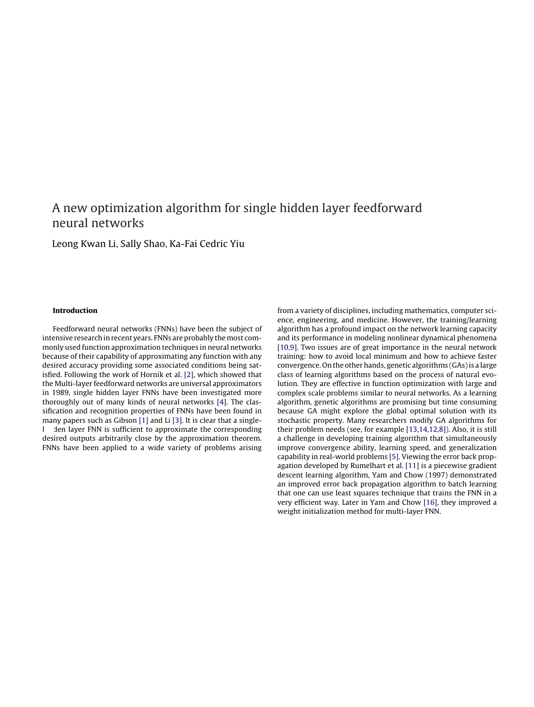## A new optimization algorithm for single hidden layer feedforward neural networks

Leong Kwan Li, Sally Shao, Ka-Fai Cedric Yiu

#### **Introduction**

Feedforward neural networks (FNNs) have been the subject of intensive research in recent years. FNNs are probably the most commonly used function approximation techniques in neural networks because of their capability of approximating any function with any desired accuracy providing some associated conditions being satisfied. Following the work of Hornik et al. [2], which showed that the Multi-layer feedforward networks are universal approximators in 1989, single hidden layer FNNs have been investigated more thoroughly out of many kinds of neural networks [4]. The classification and recognition properties of FNNs have been found in many papers such as Gibson [1] and Li [3]. It is clear that a singlel den layer FNN is sufficient to approximate the corresponding desired outputs arbitrarily close by the approximation theorem. FNNs have been applied to a wide variety of problems arising

from a variety of disciplines, including mathematics, computer science, engineering, and medicine. However, the training/learning algorithm has a profound impact on the network learning capacity and its performance in modeling nonlinear dynamical phenomena [10,9]. Two issues are of great importance in the neural network training: how to avoid local minimum and how to achieve faster convergence. On the other hands, genetic algorithms (GAs) is a large class of learning algorithms based on the process of natural evolution. They are effective in function optimization with large and complex scale problems similar to neural networks. As a learning algorithm, genetic algorithms are promising but time consuming because GA might explore the global optimal solution with its stochastic property. Many researchers modify GA algorithms for their problem needs (see, for example [13,14,12,8]). Also, it is still a challenge in developing training algorithm that simultaneously improve convergence ability, learning speed, and generalization capability in real-world problems [5]. Viewing the error back prop[agation](#page-6-0) developed by Rumelhart et al. [11] is a piecewise gradient descent learning algorithm, Yam and Chow (1997) demonstrated an improved error back propagation algorithm to batch learning that one can use least squares technique that trains the FNN in a very efficient way. Later in Yam and Chow [16], they improved a weight initialization method for multi-layer FNN.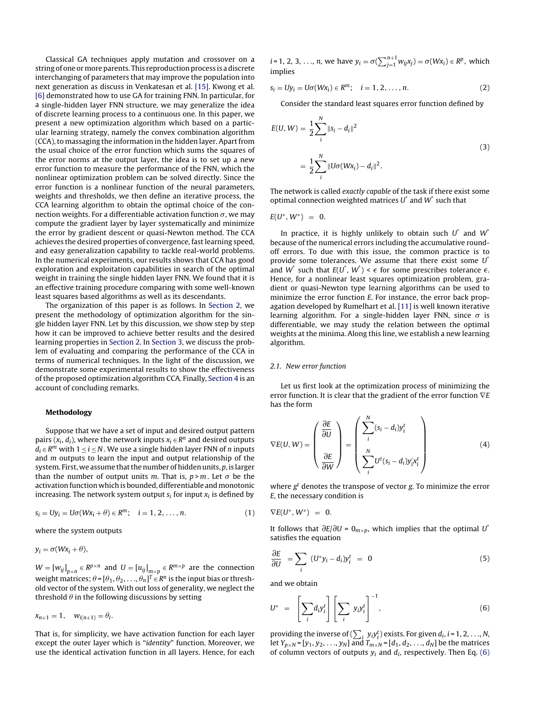<span id="page-2-0"></span>Classical GA techniques apply mutation and crossover on a string of one ormore parents. This reproduction process is a discrete interchanging of parameters that may improve the population into next generation as discuss in Venkatesan et al. [\[15\]. K](#page-6-0)wong et al. [\[6\]](#page-6-0) demonstrated how to use GA for training FNN. In particular, for a single-hidden layer FNN structure, we may generalize the idea of discrete learning process to a continuous one. In this paper, we present a new optimization algorithm which based on a particular learning strategy, namely the convex combination algorithm (CCA),to massaging the information in the hidden layer. Apart from the usual choice of the error function which sums the squares of the error norms at the output layer, the idea is to set up a new error function to measure the performance of the FNN, which the nonlinear optimization problem can be solved directly. Since the error function is a nonlinear function of the neural parameters, weights and thresholds, we then define an iterative process, the CCA learning algorithm to obtain the optimal choice of the connection weights. For a differentiable activation function  $\sigma$ , we may compute the gradient layer by layer systematically and minimize the error by gradient descent or quasi-Newton method. The CCA achieves the desired properties of convergence, fast learning speed, and easy generalization capability to tackle real-world problems. In the numerical experiments, our results shows that CCA has good exploration and exploitation capabilities in search of the optimal weight in training the single hidden layer FNN. We found that it is an effective training procedure comparing with some well-known least squares based algorithms as well as its descendants.

The organization of this paper is as follows. In Section 2, we present the methodology of optimization algorithm for the single hidden layer FNN. Let by this discussion, we show step by step how it can be improved to achieve better results and the desired learning properties in Section 2. In [Section 3, w](#page-5-0)e discuss the problem of evaluating and comparing the performance of the CCA in terms of numerical techniques. In the light of the discussion, we demonstrate some experimental results to show the effectiveness of the proposed optimization algorithm CCA. Finally, [Section 4](#page-5-0) is an account of concluding remarks.

#### **Methodology**

Suppose that we have a set of input and desired output pattern pairs ( $x_i$ ,  $d_i$ ), where the network inputs  $x_i \in \mathbb{R}^n$  and desired outputs  $d_i \in \mathbb{R}^m$  with  $1 \le i \le N$ . We use a single hidden layer FNN of *n* inputs and  $m$  outputs to learn the input and output relationship of the system. First, we assume that the number of hidden units, p, is larger than the number of output units m. That is,  $p > m$ . Let  $\sigma$  be the activation function which is bounded, differentiable and monotonic increasing. The network system output  $s_i$  for input  $x_i$  is defined by

$$
s_i = Uy_i = U\sigma(Wx_i + \theta) \in R^m; \quad i = 1, 2, \dots, n. \tag{1}
$$

where the system outputs

$$
y_i = \sigma(Wx_i + \theta),
$$

 $W = [w_{ij}]_{p \times n} \in R^{p \times n}$  and  $U = [u_{ij}]_{m \times p} \in R^{m \times p}$  are the connection weight matrices;  $\theta = [\theta_1, \theta_2, ..., \theta_n]^T \in \mathbb{R}^n$  is the input bias or threshold vector of the system. With out loss of generality, we neglect the threshold  $\theta$  in the following discussions by setting

$$
x_{n+1}=1, \quad w_{i(n+1)}=\theta_i.
$$

That is, for simplicity, we have activation function for each layer except the outer layer which is "identity" function. Moreover, we use the identical activation function in all layers. Hence, for each

*i* = 1, 2, 3, ..., *n*, we have  $y_i = \sigma(\sum_{j=1}^{n+1} w_{ij} x_j) = \sigma(W x_i) \in R^p$ , which implies

$$
s_i = U y_i = U \sigma(W x_i) \in R^m; \quad i = 1, 2, ..., n.
$$
 (2)

Consider the standard least squares error function defined by

$$
E(U, W) = \frac{1}{2} \sum_{i}^{N} ||s_i - d_i||^2
$$
  
= 
$$
\frac{1}{2} \sum_{i}^{N} ||U\sigma(Wx_i) - d_i||^2.
$$
 (3)

The network is called exactly capable of the task if there exist some optimal connection weighted matrices  $U^*$  and  $W^*$  such that

 $E(U^*, W^*) = 0.$ 

In practice, it is highly unlikely to obtain such  $U^*$  and  $W^*$ because of the numerical errors including the accumulative roundoff errors. To due with this issue, the common practice is to provide some tolerances. We assume that there exist some  $U^*$ and W<sup>\*</sup> such that  $E(U^*, W^*) < \epsilon$  for some prescribes tolerance  $\epsilon$ . Hence, for a nonlinear least squares optimization problem, gradient or quasi-Newton type learning algorithms can be used to minimize the error function E. For instance, the error back propagation developed by Rumelhart et al. [\[11\]](#page-6-0) is well known iterative learning algorithm. For a single-hidden layer FNN, since  $\sigma$  is differentiable, we may study the relation between the optimal weights at the minima. Along this line, we establish a new learning algorithm.

#### 2.1. New error function

Let us first look at the optimization process of minimizing the error function. It is clear that the gradient of the error function  $\nabla E$ has the form

$$
\nabla E(U, W) = \begin{pmatrix} \frac{\partial E}{\partial U} \\ \frac{\partial E}{\partial W} \end{pmatrix} = \begin{pmatrix} \sum_{i}^{N} (s_i - d_i) y_i^t \\ \sum_{i}^{N} U^t (s_i - d_i) y_i^t x_i^t \end{pmatrix}
$$
(4)

where  $g<sup>t</sup>$  denotes the transpose of vector g. To minimize the error E, the necessary condition is

$$
\nabla E(U^*,W^*) = 0.
$$

It follows that  $\partial E/\partial U = 0_{m \times p}$ , which implies that the optimal  $U^*$ satisfies the equation

$$
\frac{\partial E}{\partial U} = \sum_{i} (U^* y_i - d_i) y_i^t = 0 \tag{5}
$$

and we obtain

$$
U^* = \left[\sum_i d_i y_i^t\right] \left[\sum_i y_i y_i^t\right]^{-1},\tag{6}
$$

providing the inverse of ( $\sum_i y_i y_i^t$ ) exists. For given  $d_i$ ,  $i = 1, 2, ..., N$ , let  $Y_{p \times N} = [y_1, y_2, ..., y_N]$  and  $T_{m \times N} = [d_1, d_2, ..., d_N]$  be the matrices of column vectors of outputs  $y_i$  and  $d_i$ , respectively. Then Eq. (6)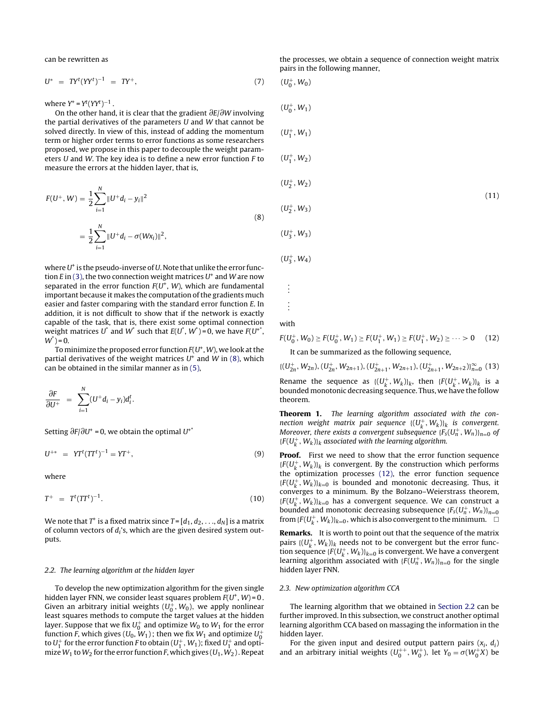<span id="page-3-0"></span>can be rewritten as

$$
U^* = TY^t (YY^t)^{-1} = TY^+, \tag{7}
$$

where  $Y^+ = Y^t (YY^t)^{-1}$ .

On the other hand, it is clear that the gradient  $\partial E/\partial W$  involving the partial derivatives of the parameters U and W that cannot be solved directly. In view of this, instead of adding the momentum term or higher order terms to error functions as some researchers proposed, we propose in this paper to decouple the weight parameters U and W. The key idea is to define a new error function F to measure the errors at the hidden layer, that is,

$$
F(U^+, W) = \frac{1}{2} \sum_{i=1}^{N} ||U^+ d_i - y_i||^2
$$
\n(8)

$$
= \frac{1}{2}\sum_{i=1}^N \|U^+d_i - \sigma(Wx_i)\|^2,
$$

where  $U^+$  is the pseudo-inverse of U. Note that unlike the error func-tion E in [\(3\), t](#page-2-0)he two connection weight matrices  $U^+$  and W are now separated in the error function  $F(U^+, W)$ , which are fundamental important because it makes the computation of the gradients much easier and faster comparing with the standard error function E. In addition, it is not difficult to show that if the network is exactly capable of the task, that is, there exist some optimal connection weight matrices U<sup>\*</sup> and W<sup>\*</sup> such that  $E(U^*, W^*)$  = 0, we have  $F(U^{*,}$ ,  $W^* = 0.$ 

To minimize the proposed error function  $F(U^+,W)$ , we look at the partial derivatives of the weight matrices  $U^+$  and W in (8), which can be obtained in the similar manner as in [\(5\),](#page-2-0)

$$
\frac{\partial F}{\partial U^+} = \sum_{i=1}^N (U^+ d_i - y_i) d_i^t.
$$

Setting  $\partial F/\partial U^+$  = 0, we obtain the optimal  $U^{+*}$ 

$$
U^{+*} = Y T^{t} (TT^{t})^{-1} = Y T^{+}, \qquad (9)
$$

where

$$
T^+ = T^t (TT^t)^{-1}.
$$
\n(10)

We note that  $T^+$  is a fixed matrix since  $T = [d_1, d_2, \ldots, d_N]$  is a matrix of column vectors of  $d_i$ 's, which are the given desired system outputs.

#### 2.2. The learning algorithm at the hidden layer

To develop the new optimization algorithm for the given single hidden layer FNN, we consider least squares problem  $F(U^+, W) = 0$ . Given an arbitrary initial weights  $(U_0^+, W_0)$ , we apply nonlinear least squares methods to compute the target values at the hidden layer. Suppose that we fix  $U_0^+$  and optimize  $W_0$  to  $W_1$  for the error function F, which gives  $(U_0, W_1)$  ; then we fix  $W_1$  and optimize  $U_0^+$ to  $U_1^+$  for the error function F to obtain (  $U_1^+$  ,  $W_1$  ); fixed  $U_1^+$  and optimize  $W_1$  to  $W_2$  for the error function F, which gives (U<sub>1</sub>, W<sub>2</sub>). Repeat the processes, we obtain a sequence of connection weight matrix pairs in the following manner,

$$
(U_0^+, W_0)
$$
  
\n
$$
(U_0^+, W_1)
$$
  
\n
$$
(U_1^+, W_1)
$$
  
\n
$$
(U_1^+, W_2)
$$
  
\n
$$
(U_2^+, W_2)
$$
  
\n
$$
(U_2^+, W_3)
$$
  
\n
$$
(U_3^+, W_3)
$$
  
\n
$$
(U_3^+, W_4)
$$

. with

. . . . .

$$
F(U_0^+, W_0) \ge F(U_0^+, W_1) \ge F(U_1^+, W_1) \ge F(U_1^+, W_2) \ge \cdots > 0 \quad (12)
$$

It can be summarized as the following sequence,

 $\{(U_{2n}^+,W_{2n}), (U_{2n}^+,W_{2n+1}), (U_{2n+1}^+,W_{2n+1}), (U_{2n+1}^+,W_{2n+2})\}_{n=0}^{\infty}$  (13)

Rename the sequence as  $\{(U_k^+, W_k)\}_k$ , then  $\{F(U_k^+, W_k)\}_k$  is a bounded monotonic decreasing sequence. Thus, we have the follow theorem.

**Theorem 1.** The learning algorithm associated with the connection weight matrix pair sequence  $\{(U_k^+, W_k)\}_k$  is convergent. Moreover, there exists a convergent subsequence  $\{F_s(U_n^+, W_n)\}_{n=0}$  of  ${F(U_k^+, W_k)}_k$  associated with the learning algorithm.

**Proof.** First we need to show that the error function sequence  ${F(U_k^+, W_k)}_k$  is convergent. By the construction which performs the optimization processes (12), the error function sequence  ${F(U_k^+, W_k)}_{k=0}$  is bounded and monotonic decreasing. Thus, it converges to a minimum. By the Bolzano–Weierstrass theorem,  ${F(U_k^+, W_k)}_{k=0}$  has a convergent sequence. We can construct a bounded and monotonic decreasing subsequence  $\{F_s(U_n^+, W_n)\}_{n=0}$ from  $\{F(U_k^+, W_k)\}_{k=0}$ , which is also convergent to the minimum.  $\Box$ 

**Remarks.** It is worth to point out that the sequence of the matrix pairs  $\{(U_k^+, W_k)\}_k$  needs not to be convergent but the error function sequence { $F(U_k^+, W_k)_{k=0}$  is convergent. We have a convergent learning algorithm associated with  $\{F(U_n^+, W_n)\}_{n=0}$  for the single hidden layer FNN.

#### 2.3. New optimization algorithm CCA

The learning algorithm that we obtained in Section 2.2 can be further improved. In this subsection, we construct another optimal learning algorithm CCA based on massaging the information in the hidden layer.

For the given input and desired output pattern pairs  $(x_i, d_i)$ and an arbitrary initial weights  $(U_0^{++}, W_0^+)$ , let  $Y_0 = \sigma(W_0^+ X)$  be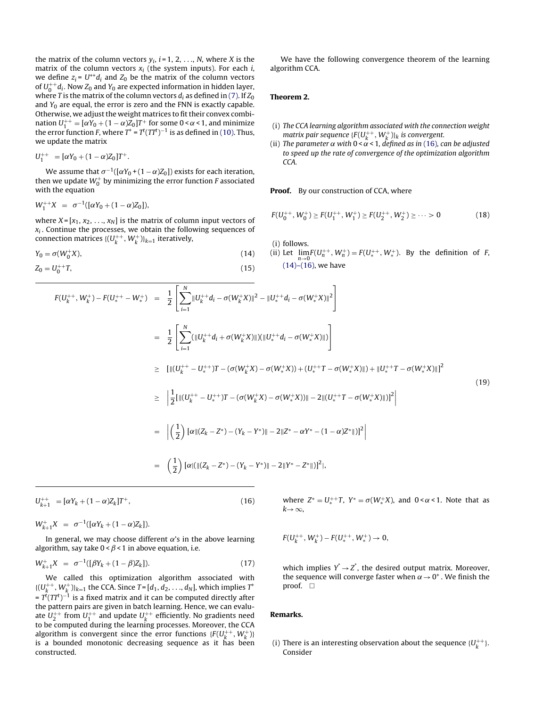the matrix of the column vectors  $y_i$ ,  $i = 1, 2, ..., N$ , where X is the matrix of the column vectors  $x_i$  (the system inputs). For each *i*, we define  $z_i = U^{++}d_i$  and  $Z_0$  be the matrix of the column vectors of  $U_0^{++}d_i$ . Now  $Z_0$  and  $Y_0$  are expected information in hidden layer, where T is the matrix of the column vectors  $d_i$  as defined in [\(7\).](#page-3-0) If  $Z_0$ and  $Y_0$  are equal, the error is zero and the FNN is exactly capable. Otherwise, we adjust the weight matrices to fit their convex combination  $U_1^{++} = [\alpha Y_0 + (1 - \alpha)Z_0]T^+$  for some  $0 < \alpha < 1$ , and minimize the error function F, where  $T^* = T^t(TT^t)^{-1}$  is as defined in [\(10\).](#page-3-0) Thus, we update the matrix

$$
U_1^{++} = [\alpha Y_0 + (1 - \alpha)Z_0]T^+.
$$

We assume that  $\sigma^{-1}([\alpha Y_0$  +  $(1-\alpha)Z_0]$  ) exists for each iteration, then we update  $W_0^+$  by minimizing the error function F associated with the equation

$$
W_1^{++}X = \sigma^{-1}([\alpha Y_0 + (1-\alpha)Z_0]),
$$

where  $X = [x_1, x_2, \ldots, x_N]$  is the matrix of column input vectors of  $x_i$ . Continue the processes, we obtain the following sequences of connection matrices  $\{(U_k^{++},W_k^+)\}_{k=1}$  iteratively,

 $Y_0 = \sigma(W_0^+)$  $_{0}^{+X}$ , (14)

$$
Z_0 = U_0^{++}T,\t\t(15)
$$

We have the following convergence theorem of the learning algorithm CCA.

#### **Theorem 2.**

- (i) The CCA learning algorithm associated with the connection weight matrix pair sequence {F $(U_k^{++},\allowbreak W_k^+)\}_k$  is convergent.
- (ii) The parameter  $\alpha$  with  $0 < \alpha < 1$ , defined as in (16), can be adjusted to speed up the rate of convergence of the optimization algorithm  $CCA$

**Proof.** By our construction of CCA, where

$$
F(U_0^{++}, W_0^+) \ge F(U_1^{++}, W_1^+) \ge F(U_2^{++}, W_2^+) \ge \cdots > 0
$$
 (18)

(i) follows.

(ii) Let  $\lim_{n\to 0} F(U_n^{++}, W_n^{+}) = F(U_*^{++}, W_*^{+})$ . By the definition of F, (14)–(16), we have

$$
F(U_{k}^{++}, W_{k}^{+}) - F(U_{*}^{++} - W_{*}^{+}) = \frac{1}{2} \left[ \sum_{i=1}^{N} \|U_{k}^{++}d_{i} - \sigma(W_{k}^{+}X)\|^{2} - \|U_{*}^{++}d_{i} - \sigma(W_{*}^{+}X)\|^{2} \right]
$$
  
\n
$$
= \frac{1}{2} \left[ \sum_{i=1}^{N} (\|U_{k}^{++}d_{i} + \sigma(W_{k}^{+}X)\|)(\|U_{*}^{++}d_{i} - \sigma(W_{*}^{+}X)\|) \right]
$$
  
\n
$$
\geq [\|(U_{k}^{++} - U_{*}^{++})T - (\sigma(W_{k}^{+}X) - \sigma(W_{*}^{+}X)) + (U_{*}^{++}T - \sigma(W_{*}^{+}X)\|) + \|U_{*}^{++}T - \sigma(W_{*}^{+}X)\|]^{2}
$$
  
\n
$$
\geq \left[ \frac{1}{2} [\|(U_{k}^{++} - U_{*}^{++})T - (\sigma(W_{k}^{+}X) - \sigma(W_{*}^{+}X))\| - 2 \|(U_{*}^{++}T - \sigma(W_{*}^{+}X)\|)]^{2} \right]
$$
  
\n
$$
= \left[ \left(\frac{1}{2}\right) [\alpha\|(Z_{k} - Z^{*}) - (Y_{k} - Y^{*})\| - 2\|Z^{*} - \alpha Y^{*} - (1 - \alpha)Z^{*}\|)]^{2} \right]
$$
  
\n
$$
= \left( \frac{1}{2} \right) [\alpha] ( \|(Z_{k} - Z^{*}) - (Y_{k} - Y^{*})\| - 2\|Y^{*} - Z^{*}\|)]^{2} |,
$$
  
\n(19)

$$
U_{k+1}^{++} = [\alpha Y_k + (1 - \alpha)Z_k]T^+, \qquad (16)
$$

$$
W_{k+1}^+ X = \sigma^{-1}([\alpha Y_k + (1-\alpha)Z_k]).
$$

In general, we may choose different  $\alpha$ 's in the above learning algorithm, say take  $0 < \beta < 1$  in above equation, i.e.

$$
W_{k+1}^+ X = \sigma^{-1}([\beta Y_k + (1 - \beta)Z_k]). \tag{17}
$$

We called this optimization algorithm associated with  $\{(U_k^{++}, W_k^+)\}_{k=1}$  the CCA. Since  $T = [d_1, d_2, ..., d_N]$ , which implies  $T^+$ =  $T^{t}(TT^{t})^{-1}$  is a fixed matrix and it can be computed directly after the pattern pairs are given in batch learning. Hence, we can evaluate  $U_2^{++}$  from  $U_1^{++}$  and update  $U_k^{++}$  efficiently. No gradients need to be computed during the learning processes. Moreover, the CCA algorithm is convergent since the error functions  $\{F(U_k^{++}, W_k^+)\}$ is a bounded monotonic decreasing sequence as it has been constructed.

where  $Z^* = U_*^{++}T$ ,  $Y^* = \sigma(W_*^+X)$ , and  $0 < \alpha < 1$ . Note that as  $k\rightarrow\infty$ ,

$$
F(U_k^{++}, W_k^+) - F(U_*^{++}, W_*^+) \to 0,
$$

which implies  $Y^* \rightarrow Z^*$ , the desired output matrix. Moreover, the sequence will converge faster when  $\alpha \rightarrow 0^+$ . We finish the proof.  $\Box$ 

#### **Remarks.**

(i) There is an interesting observation about the sequence  $\{U_k^{++}\}.$ Consider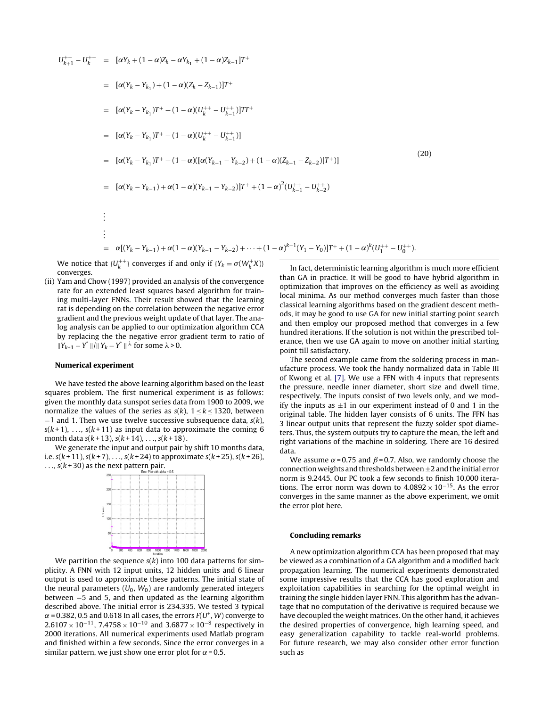<span id="page-5-0"></span>
$$
U_{k+1}^{++} - U_k^{++} = [\alpha Y_k + (1 - \alpha)Z_k - \alpha Y_{k_1} + (1 - \alpha)Z_{k-1}]T^+
$$
  
\n
$$
= [\alpha (Y_k - Y_{k_1}) + (1 - \alpha)(Z_k - Z_{k-1})]T^+
$$
  
\n
$$
= [\alpha (Y_k - Y_{k_1})T^+ + (1 - \alpha)(U_k^{++} - U_{k-1}^{++})]TT^+
$$
  
\n
$$
= [\alpha (Y_k - Y_{k_1})T^+ + (1 - \alpha)(U_k^{++} - U_{k-1}^{++})]
$$
  
\n
$$
= [\alpha (Y_k - Y_{k_1})T^+ + (1 - \alpha)([\alpha (Y_{k-1} - Y_{k-2}) + (1 - \alpha)(Z_{k-1} - Z_{k-2})]T^+)]
$$
  
\n
$$
= [\alpha (Y_k - Y_{k-1}) + \alpha (1 - \alpha)(Y_{k-1} - Y_{k-2})]T^+ + (1 - \alpha)^2 (U_{k-1}^{++} - U_{k-2}^{++})
$$
  
\n
$$
\vdots
$$

 $= \alpha [(Y_k - Y_{k-1}) + \alpha (1 - \alpha)(Y_{k-1} - Y_{k-2}) + \cdots + (1 - \alpha)^{k-1}(Y_1 - Y_0)]T^+ + (1 - \alpha)^k (U_1^{++} - U_0^{++}).$ 

We notice that  $\{U_k^{++}\}$  converges if and only if  $\{Y_k = \sigma(W_k^+X)\}$ converges.

(ii) Yam and Chow (1997) provided an analysis of the convergence rate for an extended least squares based algorithm for training multi-layer FNNs. Their result showed that the learning rat is depending on the correlation between the negative error gradient and the previous weight update of that layer. The analog analysis can be applied to our optimization algorithm CCA by replacing the the negative error gradient term to ratio of  $||Y_{k+1} - Y^*||/||Y_k - Y^*|| \lambda$  for some  $\lambda > 0$ .

#### **Numerical experiment**

We have tested the above learning algorithm based on the least squares problem. The first numerical experiment is as follows: given the monthly data sunspot series data from 1900 to 2009, we normalize the values of the series as  $s(k)$ ,  $1 \le k \le 1320$ , between  $-1$  and 1. Then we use twelve successive subsequence data,  $s(k)$ ,  $s(k+1), \ldots, s(k+11)$  as input data to approximate the coming 6 month data  $s(k+13)$ ,  $s(k+14)$ , ...,  $s(k+18)$ .

We generate the input and output pair by shift 10 months data, i.e.  $s(k+11)$ ,  $s(k+7)$ , ...,  $s(k+24)$  to approximate  $s(k+25)$ ,  $s(k+26)$ ,  $\ldots$ , s( $k+30$ ) as the next pattern pair.



We partition the sequence  $s(k)$  into 100 data patterns for simplicity. A FNN with 12 input units, 12 hidden units and 6 linear output is used to approximate these patterns. The initial state of the neural parameters  $(U_0, W_0)$  are randomly generated integers between −5 and 5, and then updated as the learning algorithm described above. The initial error is 234.335. We tested 3 typical  $\alpha$  = 0.382, 0.5 and 0.618 In all cases, the errors  $F(U^+, W)$  converge to  $2.6107 \times 10^{-11}$ ,  $7.4758 \times 10^{-10}$  and  $3.6877 \times 10^{-8}$  respectively in 2000 iterations. All numerical experiments used Matlab program and finished within a few seconds. Since the error converges in a similar pattern, we just show one error plot for  $\alpha$  = 0.5.

In fact, deterministic learning algorithm is much more efficient than GA in practice. It will be good to have hybrid algorithm in optimization that improves on the efficiency as well as avoiding local minima. As our method converges much faster than those classical learning algorithms based on the gradient descent methods, it may be good to use GA for new initial starting point search and then employ our proposed method that converges in a few hundred iterations. If the solution is not within the prescribed tolerance, then we use GA again to move on another initial starting point till satisfactory.

The second example came from the soldering process in manufacture process. We took the handy normalized data in Table III of Kwong et al. [\[7\].](#page-6-0) We use a FFN with 4 inputs that represents the pressure, needle inner diameter, short size and dwell time, respectively. The inputs consist of two levels only, and we modify the inputs as  $\pm 1$  in our experiment instead of 0 and 1 in the original table. The hidden layer consists of 6 units. The FFN has 3 linear output units that represent the fuzzy solder spot diameters. Thus, the system outputs try to capture the mean, the left and right variations of the machine in soldering. There are 16 desired data.

We assume  $\alpha$  = 0.75 and  $\beta$  = 0.7. Also, we randomly choose the connection weights and thresholds between  $\pm 2$  and the initial error norm is 9.2445. Our PC took a few seconds to finish 10,000 iterations. The error norm was down to  $4.0892 \times 10^{-15}$ . As the error converges in the same manner as the above experiment, we omit the error plot here.

#### **Concluding remarks**

A new optimization algorithm CCA has been proposed that may be viewed as a combination of a GA algorithm and a modified back propagation learning. The numerical experiments demonstrated some impressive results that the CCA has good exploration and exploitation capabilities in searching for the optimal weight in training the single hidden layer FNN. This algorithm has the advantage that no computation of the derivative is required because we have decoupled the weight matrices. On the other hand, it achieves the desired properties of convergence, high learning speed, and easy generalization capability to tackle real-world problems. For future research, we may also consider other error function such as